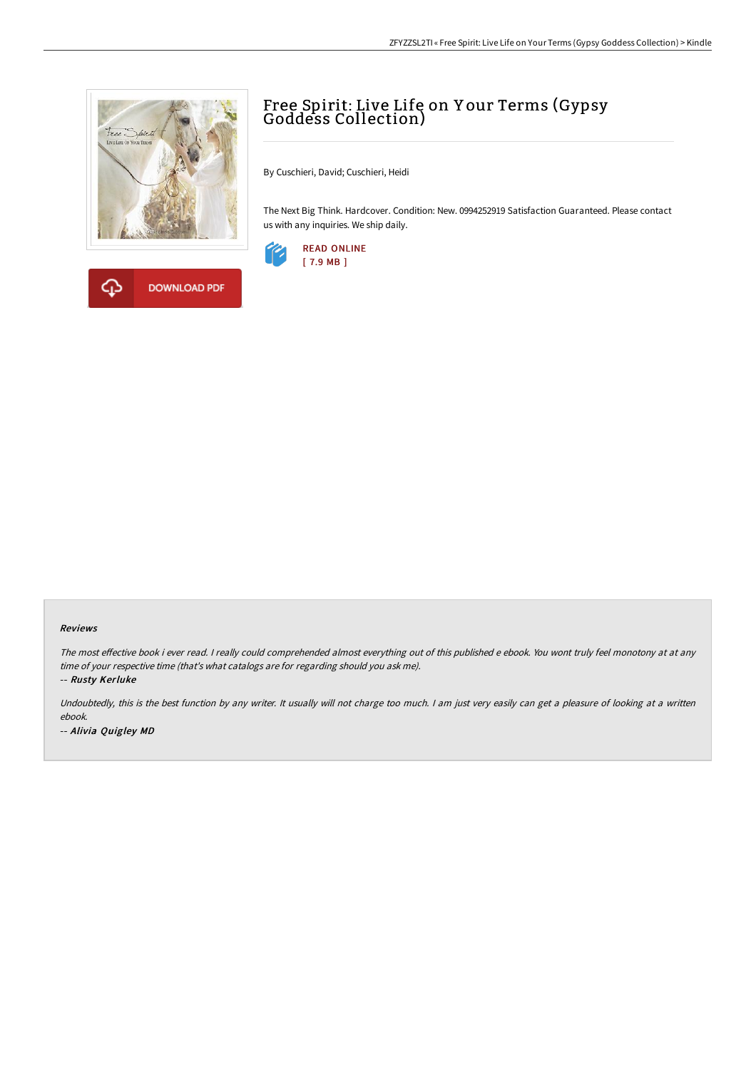



## Free Spirit: Live Life on <sup>Y</sup> our Terms (Gypsy Goddess Collection)

By Cuschieri, David; Cuschieri, Heidi

The Next Big Think. Hardcover. Condition: New. 0994252919 Satisfaction Guaranteed. Please contact us with any inquiries. We ship daily.



## Reviews

The most effective book i ever read. I really could comprehended almost everything out of this published e ebook. You wont truly feel monotony at at any time of your respective time (that's what catalogs are for regarding should you ask me).

-- Rusty Kerluke

Undoubtedly, this is the best function by any writer. It usually will not charge too much. I am just very easily can get a pleasure of looking at a written ebook. -- Alivia Quigley MD